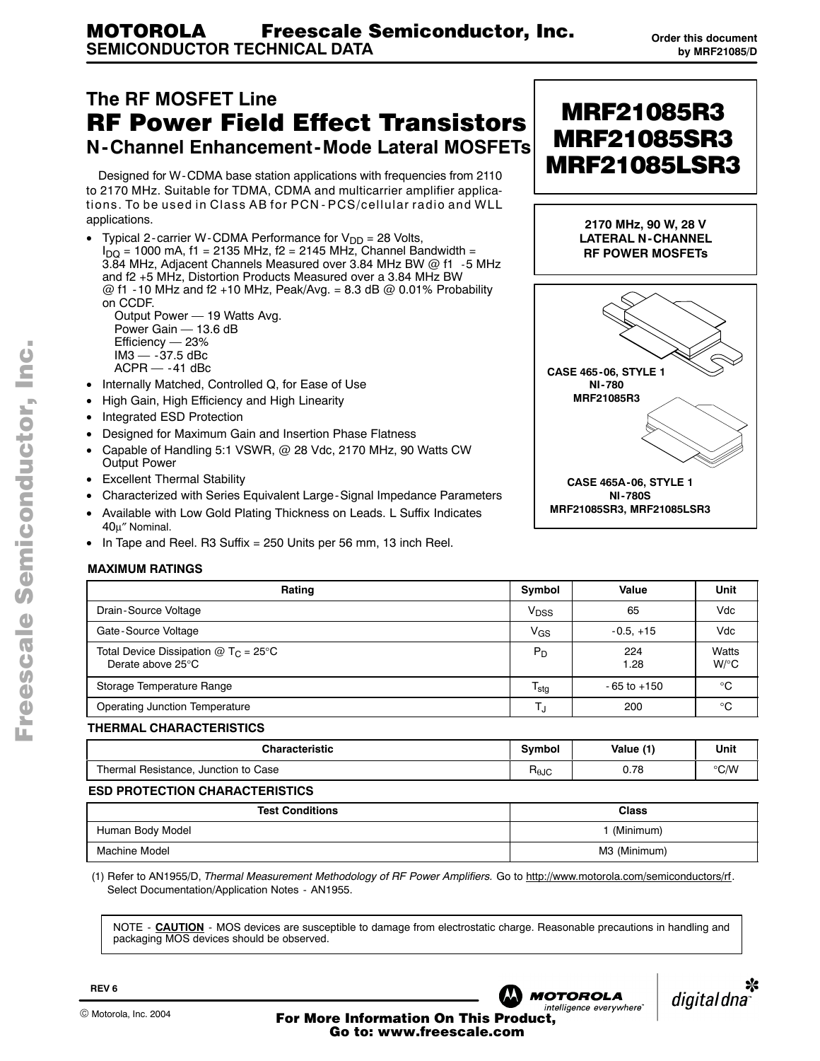#### <span id="page-0-0"></span>**The RF MOSFET Line** RF Power Field Effect Transistors **N-Channel Enhancement-Mode Lateral MOSFETs**

Designed for W-CDMA base station applications with frequencies from 2110 to 2170 MHz. Suitable for TDMA, CDMA and multicarrier amplifier applications. To be used in Class AB for PCN - PCS/cellular radio and WLL applications.

• Typical 2-carrier W-CDMA Performance for  $V_{DD} = 28$  Volts,  $I_{\text{DO}}$  = 1000 mA, f1 = 2135 MHz, f2 = 2145 MHz, Channel Bandwidth = 3.84 MHz, Adjacent Channels Measured over 3.84 MHz BW @ f1 -5 MHz and f2 +5 MHz, Distortion Products Measured over a 3.84 MHz BW  $@$  f1 -10 MHz and f2 +10 MHz, Peak/Avg. = 8.3 dB  $@$  0.01% Probability on CCDF. Output Power - 19 Watts Avg.

Power Gain  $-$  13.6 dB  $Efficiency - 23%$  $IM3 - 37.5$  dBc  $ACPR - -41$  dBc

- Internally Matched, Controlled Q, for Ease of Use
- High Gain, High Efficiency and High Linearity
- Integrated ESD Protection
- Designed for Maximum Gain and Insertion Phase Flatness
- Capable of Handling 5:1 VSWR, @ 28 Vdc, 2170 MHz, 90 Watts CW Output Power
- Excellent Thermal Stability
- Characterized with Series Equivalent Large-Signal Impedance Parameters
- Available with Low Gold Plating Thickness on Leads. L Suffix Indicates 40µ″ Nominal.
- In Tape and Reel. R3 Suffix =  $250$  Units per 56 mm, 13 inch Reel.

#### **MAXIMUM RATINGS**

| Rating                                                                            | Symbol           | Value           | Unit             |
|-----------------------------------------------------------------------------------|------------------|-----------------|------------------|
| Drain-Source Voltage                                                              | $V_{\text{DSS}}$ | 65              | Vdc              |
| Gate-Source Voltage                                                               | V <sub>GS</sub>  | $-0.5. +15$     | Vdc              |
| Total Device Dissipation $@$ T <sub>C</sub> = 25°C<br>Derate above $25^{\circ}$ C | $P_D$            | 224<br>1.28     | Watts<br>$W$ /°C |
| Storage Temperature Range                                                         | $T_{\text{stg}}$ | $-65$ to $+150$ | °C               |
| <b>Operating Junction Temperature</b>                                             |                  | 200             | ം                |

#### **THERMAL CHARACTERISTICS**

| <b>Characteristic</b>                       |                        | (1)<br>Value | Unit                |
|---------------------------------------------|------------------------|--------------|---------------------|
| Thermal,<br>Resistance.<br>Junction to Case | $H_{\theta \text{JC}}$ | 0.78         | $\circ$ CAN<br>◡ッ៴៴ |

#### **ESD PROTECTION CHARACTERISTICS**

| <b>Test Conditions</b> | <b>Class</b> |
|------------------------|--------------|
| Human Body Model       | (Minimum)    |
| Machine Model          | M3 (Minimum) |

(1) Refer to AN1955/D, Thermal Measurement Methodology of RF Power Amplifiers. Go to http://www.motorola.com/semiconductors/rf. Select Documentation/Application Notes - AN1955.

NOTE - **CAUTION** - MOS devices are susceptible to damage from electrostatic charge. Reasonable precautions in handling and packaging MOS devices should be observed.



MRF21085R3 MRF21085SR3

MRF21085LSR3

**2170 MHz, 90 W, 28 V LATERAL N-CHANNEL**

**NI-780S MRF21085SR3, MRF21085LSR3**

n

.<br>ق



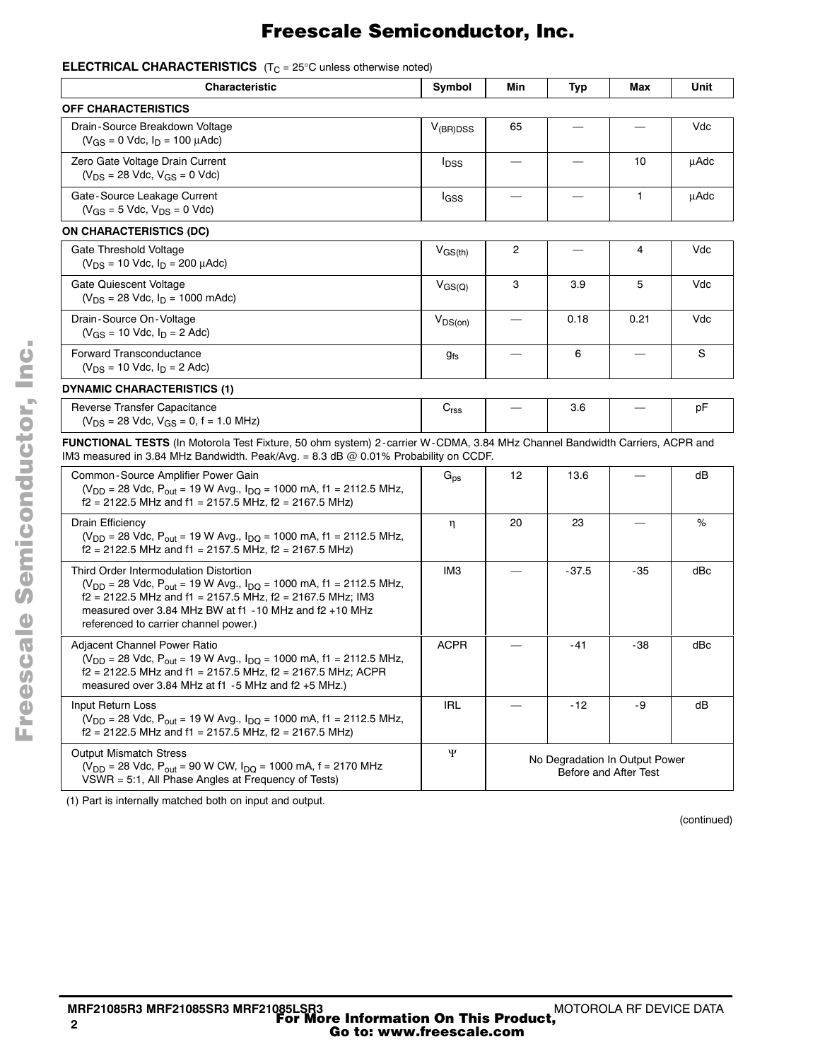#### **ELECTRICALCHARACTERISTICS** (T<sub>C</sub> = 25°C unless otherwise noted)

| <b>Characteristic</b>                                                                                                                                                                                                                                                                                                       |                         | Min | Typ   | Max  | Unit |
|-----------------------------------------------------------------------------------------------------------------------------------------------------------------------------------------------------------------------------------------------------------------------------------------------------------------------------|-------------------------|-----|-------|------|------|
| <b>OFF CHARACTERISTICS</b>                                                                                                                                                                                                                                                                                                  |                         |     |       |      |      |
| Drain-Source Breakdown Voltage<br>$(V_{GS} = 0$ Vdc, $I_D = 100$ $\mu$ Adc)                                                                                                                                                                                                                                                 | $V_{(BR)DSS}$           | 65  |       |      | Vdc  |
| Zero Gate Voltage Drain Current<br>$(V_{DS} = 28$ Vdc, $V_{GS} = 0$ Vdc)                                                                                                                                                                                                                                                    | <b>I</b> <sub>DSS</sub> |     |       | 10   | μAdc |
| Gate-Source Leakage Current<br>$(V_{GS} = 5$ Vdc, $V_{DS} = 0$ Vdc)                                                                                                                                                                                                                                                         | l <sub>GSS</sub>        |     |       | 1    | μAdc |
| <b>ON CHARACTERISTICS (DC)</b>                                                                                                                                                                                                                                                                                              |                         |     |       |      |      |
| Gate Threshold Voltage<br>$(V_{DS} = 10$ Vdc, $I_D = 200$ $\mu$ Adc)                                                                                                                                                                                                                                                        | $V_{GS(th)}$            | 2   |       | 4    | Vdc  |
| Gate Quiescent Voltage<br>$(V_{DS} = 28$ Vdc, $I_D = 1000$ mAdc)                                                                                                                                                                                                                                                            | $V_{GS(Q)}$             | 3   | 3.9   | 5    | Vdc  |
| Drain-Source On-Voltage<br>$(V_{GS} = 10$ Vdc, $I_D = 2$ Adc)                                                                                                                                                                                                                                                               |                         |     | 0.18  | 0.21 | Vdc  |
| Forward Transconductance<br>$(V_{DS} = 10$ Vdc, $I_D = 2$ Adc)                                                                                                                                                                                                                                                              | 9fs                     |     | 6     |      | S    |
| <b>DYNAMIC CHARACTERISTICS (1)</b>                                                                                                                                                                                                                                                                                          |                         |     |       |      |      |
| Reverse Transfer Capacitance<br>$(V_{DS} = 28$ Vdc, $V_{GS} = 0$ , f = 1.0 MHz)                                                                                                                                                                                                                                             | C <sub>rss</sub>        |     | 3.6   |      | рF   |
| FUNCTIONAL TESTS (In Motorola Test Fixture, 50 ohm system) 2-carrier W-CDMA, 3.84 MHz Channel Bandwidth Carriers, ACPR and<br>IM3 measured in 3.84 MHz Bandwidth. Peak/Avg. = 8.3 dB @ 0.01% Probability on CCDF.                                                                                                           |                         |     |       |      |      |
| Common-Source Amplifier Power Gain<br>( $V_{DD}$ = 28 Vdc, P <sub>out</sub> = 19 W Avg., I <sub>DQ</sub> = 1000 mA, f1 = 2112.5 MHz,<br>$f2 = 2122.5$ MHz and $f1 = 2157.5$ MHz, $f2 = 2167.5$ MHz)                                                                                                                         | $G_{DS}$                | 12  | 13.6  |      | dB   |
| Drain Efficiency<br>( $V_{DD}$ = 28 Vdc, P <sub>out</sub> = 19 W Avg., I <sub>DQ</sub> = 1000 mA, f1 = 2112.5 MHz,<br>$f2 = 2122.5$ MHz and $f1 = 2157.5$ MHz, $f2 = 2167.5$ MHz)                                                                                                                                           | η                       | 20  | 23    |      | %    |
| Third Order Intermodulation Distortion<br>( $V_{\text{DD}}$ = 28 Vdc, P <sub>out</sub> = 19 W Avg., I <sub>DQ</sub> = 1000 mA, f1 = 2112.5 MHz,<br>$f2 = 2122.5$ MHz and $f1 = 2157.5$ MHz, $f2 = 2167.5$ MHz; IM3<br>measured over 3.84 MHz BW at $f1 - 10$ MHz and $f2 + 10$ MHz<br>referenced to carrier channel power.) | IМЗ                     |     | -37.5 | -35  | dBc  |
| Adjacent Channel Power Ratio<br>(V <sub>DD</sub> = 28 Vdc, P <sub>out</sub> = 19 W Avg., I <sub>DQ</sub> = 1000 mA, f1 = 2112.5 MHz,<br>f2 = 2122.5 MHz and f1 = 2157.5 MHz, f2 = 2167.5 MHz; ACPR<br>measured over 3.84 MHz at f1 -5 MHz and f2 +5 MHz.)                                                                   | <b>ACPR</b>             |     | -41   | -38  | dBc  |
| Input Return Loss<br>( $V_{DD}$ = 28 Vdc, P <sub>out</sub> = 19 W Avg., I <sub>DQ</sub> = 1000 mA, f1 = 2112.5 MHz,<br>$f2 = 2122.5$ MHz and $f1 = 2157.5$ MHz, $f2 = 2167.5$ MHz)                                                                                                                                          | <b>IRL</b>              |     | -12   | -9   | dB   |
| Ψ<br><b>Output Mismatch Stress</b><br>No Degradation In Output Power<br>( $V_{DD}$ = 28 Vdc, P <sub>out</sub> = 90 W CW, $I_{DQ}$ = 1000 mA, f = 2170 MHz<br>Before and After Test<br>VSWR = 5:1, All Phase Angles at Frequency of Tests)                                                                                   |                         |     |       |      |      |

(1) Part is internally matched both on input and output.

(continued)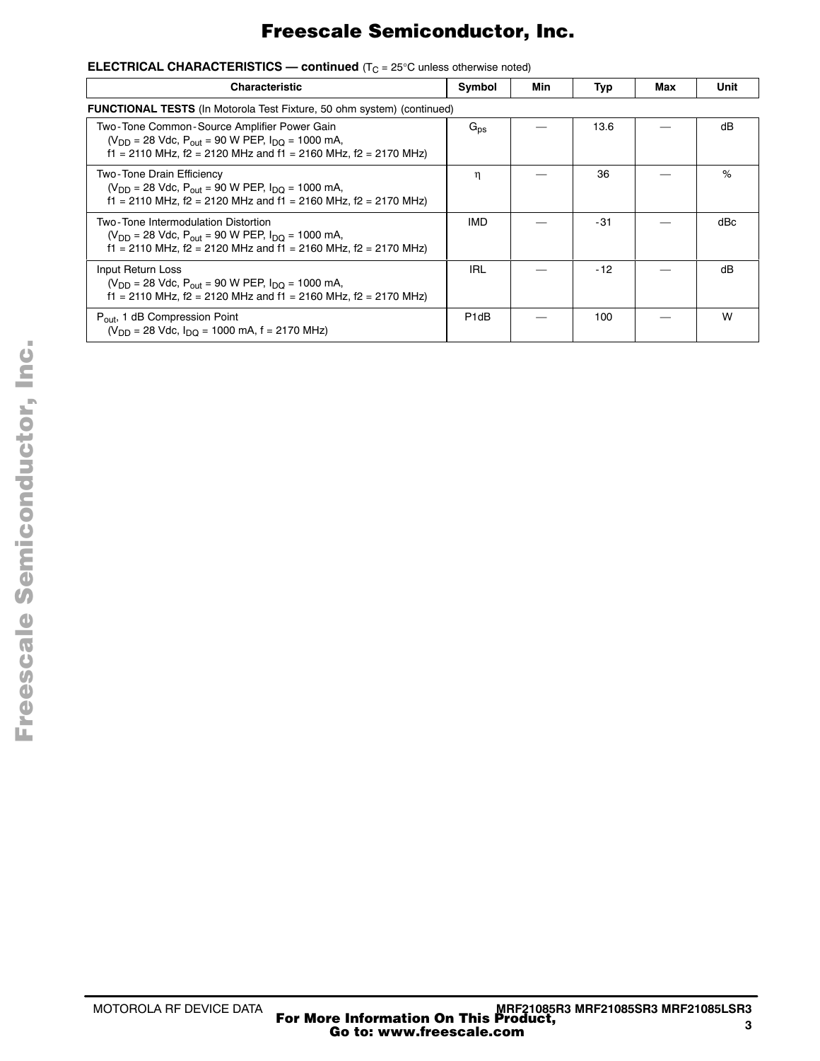| <b>ELECTRICAL CHARACTERISTICS — continued</b> ( $T_C = 25^{\circ}$ C unless otherwise noted) |
|----------------------------------------------------------------------------------------------|
|----------------------------------------------------------------------------------------------|

| <b>Characteristic</b>                                                                                                                                                          | Symbol                                                                        | Min | Typ   | Max | Unit |  |  |
|--------------------------------------------------------------------------------------------------------------------------------------------------------------------------------|-------------------------------------------------------------------------------|-----|-------|-----|------|--|--|
|                                                                                                                                                                                | <b>FUNCTIONAL TESTS</b> (In Motorola Test Fixture, 50 ohm system) (continued) |     |       |     |      |  |  |
| Two-Tone Common-Source Amplifier Power Gain<br>$(V_{DD} = 28$ Vdc, $P_{out} = 90$ W PEP, $I_{DD} = 1000$ mA,<br>f1 = 2110 MHz, f2 = 2120 MHz and f1 = 2160 MHz, f2 = 2170 MHz) | $G_{DS}$                                                                      |     | 13.6  |     | dB   |  |  |
| Two-Tone Drain Efficiency<br>$(V_{DD} = 28$ Vdc, $P_{out} = 90$ W PEP, $I_{DD} = 1000$ mA,<br>f1 = 2110 MHz, f2 = 2120 MHz and f1 = 2160 MHz, f2 = 2170 MHz)                   | η                                                                             |     | 36    |     | %    |  |  |
| Two-Tone Intermodulation Distortion<br>$(V_{DD} = 28$ Vdc, $P_{out} = 90$ W PEP, $I_{DD} = 1000$ mA,<br>f1 = 2110 MHz, f2 = 2120 MHz and f1 = 2160 MHz, f2 = 2170 MHz)         | IMD                                                                           |     | -31   |     | dBc  |  |  |
| Input Return Loss<br>$(V_{DD} = 28$ Vdc, $P_{out} = 90$ W PEP, $I_{DD} = 1000$ mA,<br>f1 = 2110 MHz, f2 = 2120 MHz and f1 = 2160 MHz, f2 = 2170 MHz)                           | <b>IRL</b>                                                                    |     | $-12$ |     | dB   |  |  |
| $P_{\text{out}}$ , 1 dB Compression Point<br>$(V_{DD} = 28$ Vdc, $I_{DD} = 1000$ mA, f = 2170 MHz)                                                                             | P <sub>1</sub> dB                                                             |     | 100   |     | W    |  |  |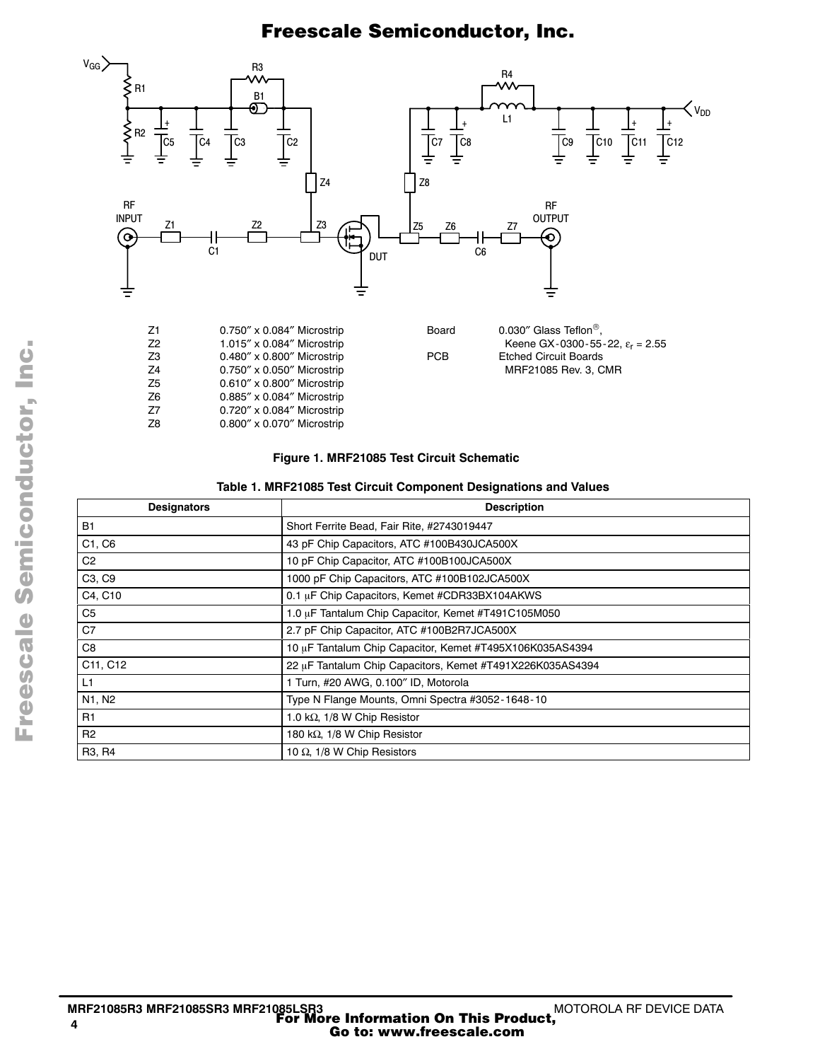

#### **Figure 1. MRF21085 Test Circuit Schematic**

 $0.885''$  x  $0.084''$  Microstrip

Z7 0.720″ x 0.084″ Microstrip Z8 0.800″ x 0.070″ Microstrip

| Table 1. MRF21085 Test Circuit Component Designations and Values |  |  |  |  |
|------------------------------------------------------------------|--|--|--|--|
|                                                                  |  |  |  |  |

| <b>Designators</b>              | <b>Description</b>                                        |  |  |  |  |
|---------------------------------|-----------------------------------------------------------|--|--|--|--|
| <b>B1</b>                       | Short Ferrite Bead, Fair Rite, #2743019447                |  |  |  |  |
| C1, C6                          | 43 pF Chip Capacitors, ATC #100B430JCA500X                |  |  |  |  |
| C <sub>2</sub>                  | 10 pF Chip Capacitor, ATC #100B100JCA500X                 |  |  |  |  |
| C <sub>3</sub> , C <sub>9</sub> | 1000 pF Chip Capacitors, ATC #100B102JCA500X              |  |  |  |  |
| C4, C10                         | 0.1 µF Chip Capacitors, Kemet #CDR33BX104AKWS             |  |  |  |  |
| C <sub>5</sub>                  | 1.0 µF Tantalum Chip Capacitor, Kemet #T491C105M050       |  |  |  |  |
| C7                              | 2.7 pF Chip Capacitor, ATC #100B2R7JCA500X                |  |  |  |  |
| C8                              | 10 µF Tantalum Chip Capacitor, Kemet #T495X106K035AS4394  |  |  |  |  |
| C11, C12                        | 22 µF Tantalum Chip Capacitors, Kemet #T491X226K035AS4394 |  |  |  |  |
| L1                              | 1 Turn, #20 AWG, 0.100" ID, Motorola                      |  |  |  |  |
| N1, N2                          | Type N Flange Mounts, Omni Spectra #3052-1648-10          |  |  |  |  |
| R1                              | 1.0 k $\Omega$ , 1/8 W Chip Resistor                      |  |  |  |  |
| R2                              | 180 kΩ, 1/8 W Chip Resistor                               |  |  |  |  |
| R <sub>3</sub> , R <sub>4</sub> | 10 $\Omega$ , 1/8 W Chip Resistors                        |  |  |  |  |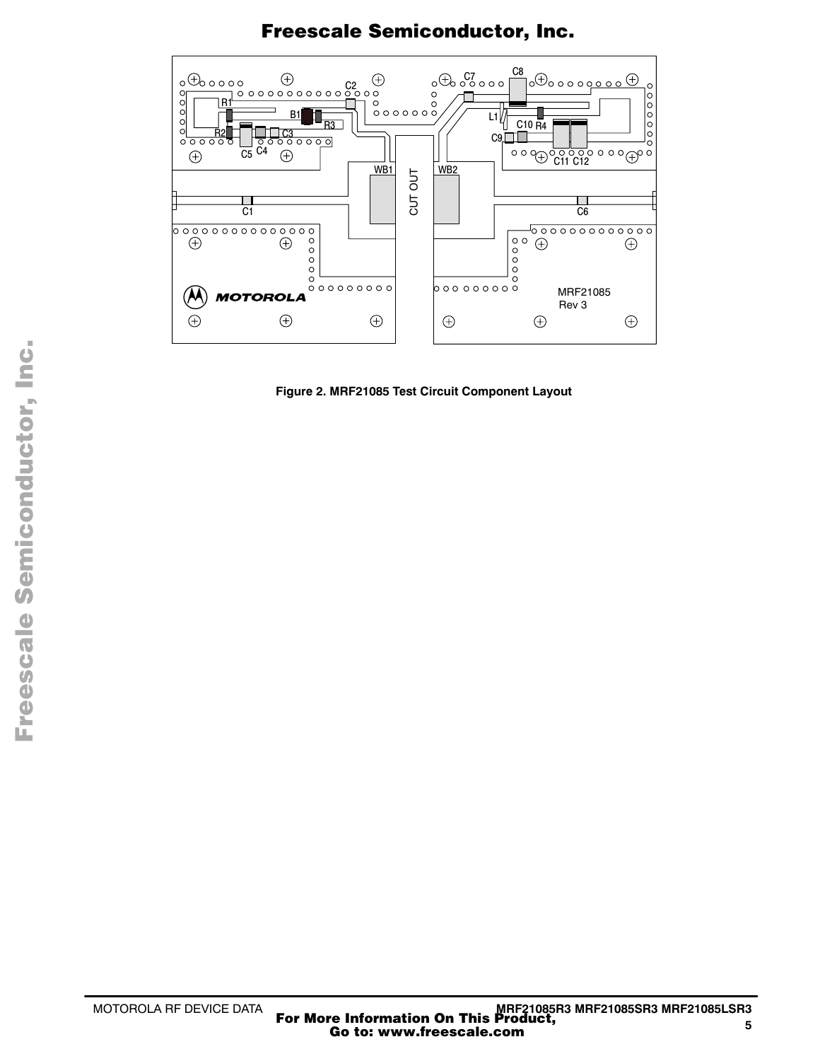

**Figure 2. MRF21085 Test Circuit Component Layout**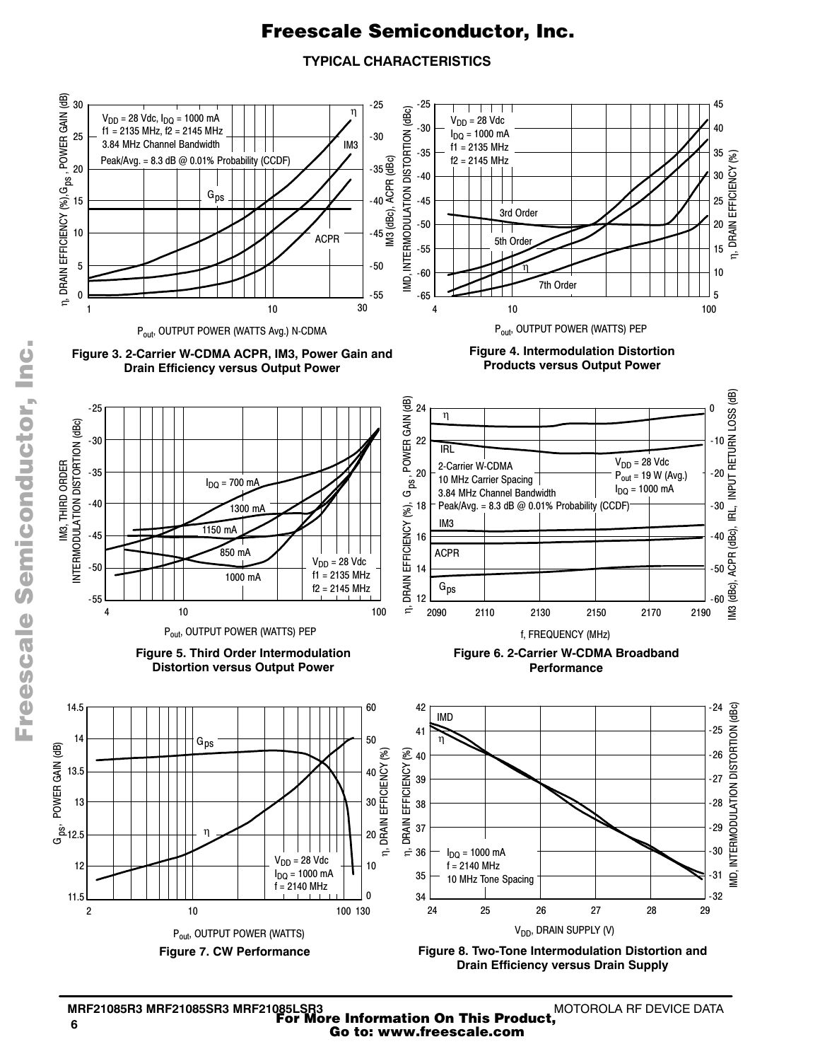#### **TYPICAL CHARACTERISTICS**



.<br>ق

MOTOROLA RF DEVICE DATA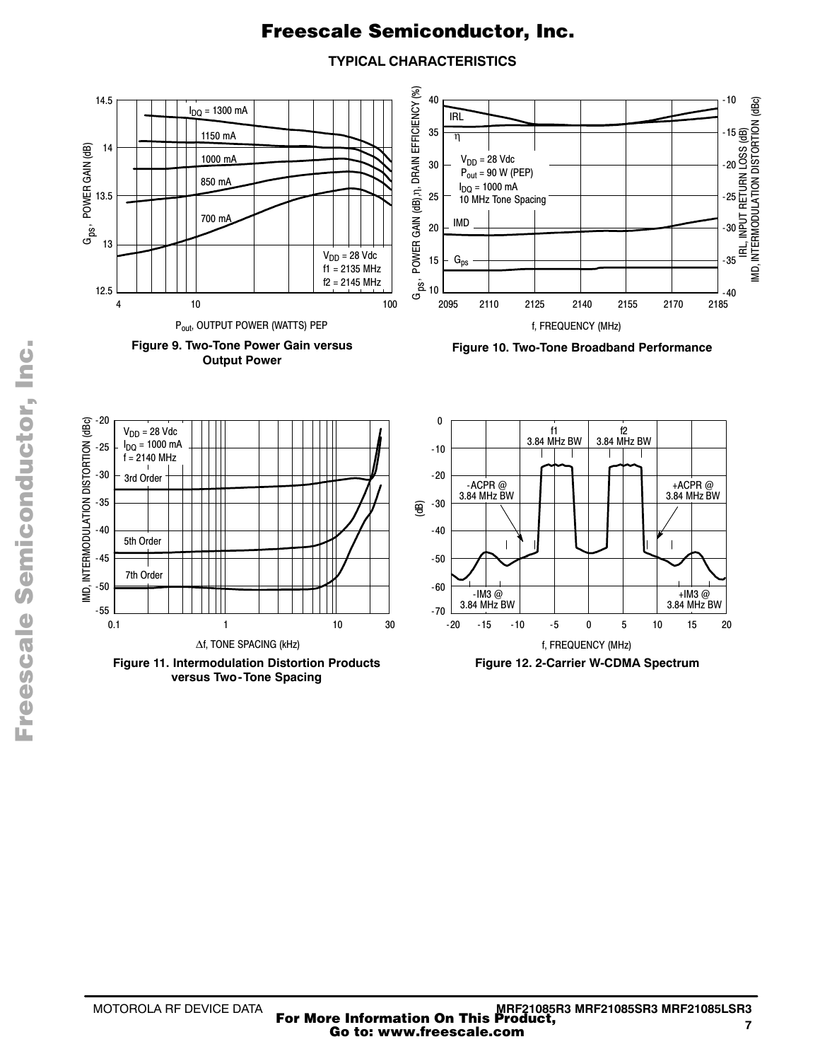**TYPICAL CHARACTERISTICS**



F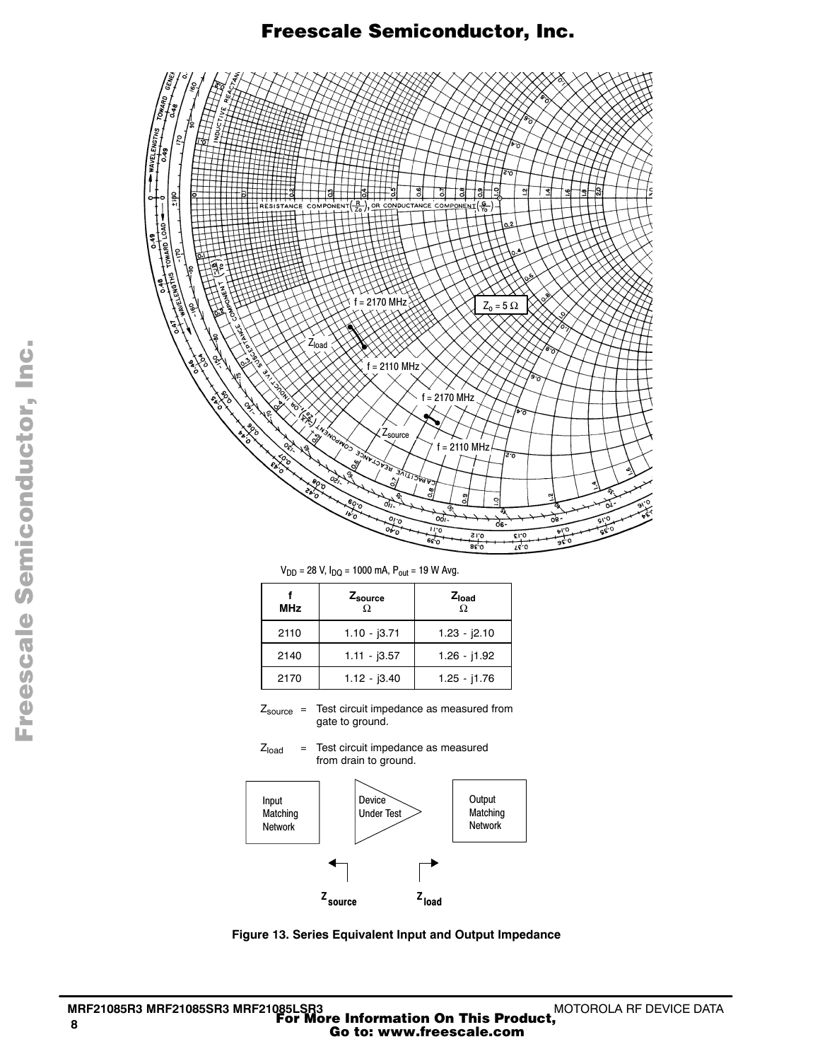

 $V_{DD} = 28$  V,  $I_{DQ} = 1000$  mA,  $P_{out} = 19$  W Avg.

| <b>MHz</b> | Zsource<br>Ω   | $Z_{load}$<br>Ω |
|------------|----------------|-----------------|
| 2110       | $1.10 - j3.71$ | $1.23 - 2.10$   |
| 2140       | $1.11 - 3.57$  | $1.26 - j1.92$  |
| 2170       | $1.12 - j3.40$ | $1.25 - j1.76$  |

 $Z_{\text{source}}$  = Test circuit impedance as measured from gate to ground.

 $Z<sub>load</sub>$  = Test circuit impedance as measured from drain to ground.



**Figure 13. Series Equivalent Input and Output Impedance**

Fr  $\boldsymbol{\Phi}$  $\bf \Phi$  $\boldsymbol{\eta}$  $\mathbf 0$ 

ale

 $\boldsymbol{g}$  $\bf \Phi$ 

mic

o n d u  $\mathbf 0$ t o

r, I n

.<br>ق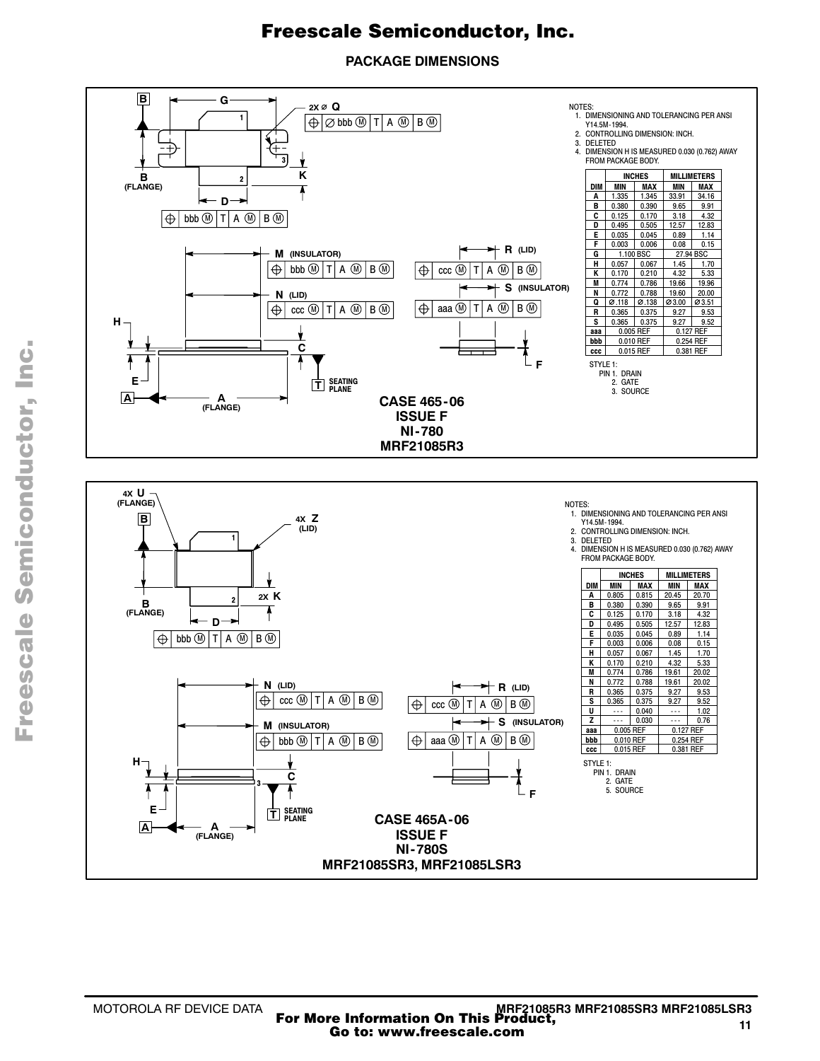**PACKAGE DIMENSIONS**